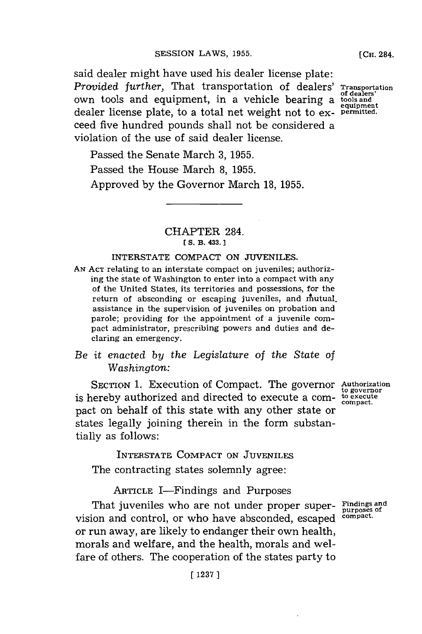said dealer might have used his dealer license plate: *Provided further,* That transportation of dealers' Transportation own tools and equipment, in a vehicle bearing a **tools and** dealer license plate, to a total net weight not to ex- **permitted.** ceed five hundred pounds shall not be considered a violation of the use of said dealer license.

**equipment**

Passed the Senate March **3, 1955.** Passed the House March **8, 1955.** Approved **by** the Governor March **18, 1955.**

#### CHAPTER 284. **[ S. B. 433.]1**

#### INTERSTATE **COMPACT ON JUVENILES.**

**AN ACT** relating to an interstate compact on juveniles; authorizing the state of Washington to enter into a compact with any of the United States, its territories and possessions, for the return of absconding or escaping juveniles, and mutual. assistance in the supervision of juveniles on probation and parole; providing for the appointment of a juvenile compact administrator, prescribing powers and duties and declaring an emergency.

## *Be it enacted by the Legislature of the* State *of Washington:*

SECTION 1. Execution of Compact. The governor Authorization is hereby authorized and directed to execute a com- **to execute** pact on behalf of this state with any other state or states legally joining therein in the form substantially as follows:

**to governor compact.**

INTERSTATE **COMPACT ON JUVENILES** The contracting states solemnly agree:

ARTICLE I—Findings and Purposes

That juveniles who are not under proper super- **Findings** and vision and control, or who have absconded, escaped <sup>compact.</sup> or run away, are likely to endanger their own health, morals and welfare, and the health, morals and welfare of others. The cooperation of the states party to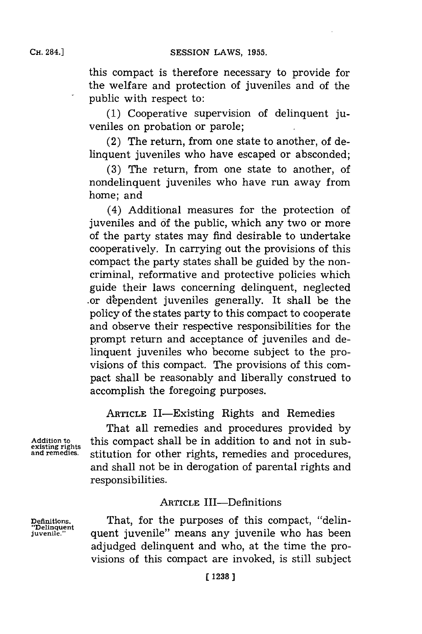this compact is therefore necessary to provide for the welfare and protection of juveniles and of the public with respect to:

**(1)** Cooperative supervision of delinquent juveniles on probation or parole;

(2) The return, from one state to another, of delinquent juveniles who have escaped or absconded;

**(3)** The return, from one state to another, of nondelinquent juveniles who have run away from home; and

(4) Additional measures for the protection of juveniles and **of** the public, which any two or more of the party states may find desirable to undertake cooperatively. In carrying out the provisions of this compact the party states shall be guided **by** the noncriminal, reformative and protective policies which guide their laws concerning delinquent, neglected .or dependent juveniles generally. It shall be the policy of the states party to this compact to cooperate and observe their respective responsibilities for the prompt return and acceptance of juveniles and delinquent juveniles who become subject to the provisions of this compact. The provisions of this compact shall be reasonably and liberally construed to accomplish the foregoing purposes.

**ARTICLE** Il-Existing Rights and Remedies

That all remedies and procedures provided **by** Addition to this compact shall be in addition to and not in sub-<br>and remedies. <br>*stitution for other rights, remedies and procedures,* and shall not be in derogation of parental rights and responsibilities.

## **ARTICLE III-Definitions**

That, for the purposes of this compact, "delinquent juvenile" means any juvenile who has been adjudged delinquent and who, at the time the provisions of this compact are invoked, is still subject

**Definitions.**<br>"**Delinquent**<br>**juvenile.**"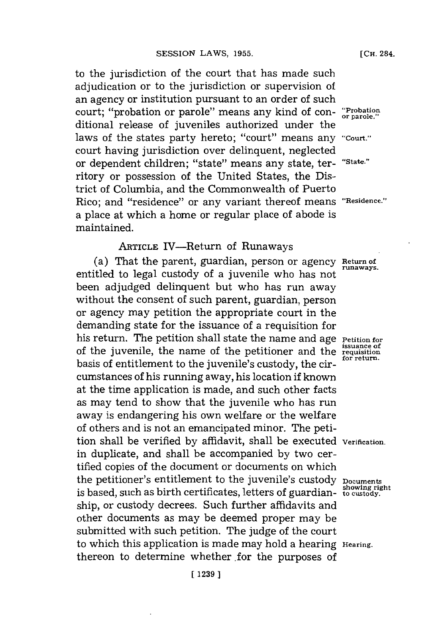to the jurisdiction of the court that has made such adjudication or to the jurisdiction or supervision of an agency or institution pursuant to an order of such court; "probation or parole" means any kind of con- **"Probation** ditional release of juveniles authorized under the laws of the states party hereto; "court" means any "Court." court having jurisdiction over delinquent, neglected or dependent children; "state" means any state, ter- **"State."** ritory or possession of the United States, the District of Columbia, and the Commonwealth of Puerto Rico; and "residence" or any variant thereof means **"Residence."** a place at which a home or regular place of abode is maintained.

#### **ARTICLE IV-Return of Runaways**

(a) That the parent, guardian, person or agency **Return of** entitled to legal custody of a juvenile who has not been adjudged delinquent but who has run away without the consent of such parent, guardian, person or agency may petition the appropriate court in the demanding state for the issuance of a requisition for his return. The petition shall state the name and age **Petition for** of the juvenile, the name of the petitioner and the **requisition** basis of entitlement to the juvenile's custody, the circumstances of his running away, his location if known at the time application is made, and such other facts as may tend to show that the juvenile who has run away is endangering his own welfare or the welfare of others and is not an emancipated minor. The petition shall be verified **by** affidavit, shall be executed **Verification.** in duplicate, and shall be accompanied **by** two certified copies of the document or documents on which the petitioner's entitlement to the juvenile's custody **Documents** is based, such as birth certificates, letters of guardian- **to custody.** ship, or custody decrees. Such further affidavits and other documents as may be deemed proper may be submitted with such petition. The judge of the court to which this application is made may hold a hearing **Hearing.** thereon to determine whether for the purposes of

**[CH.** 284.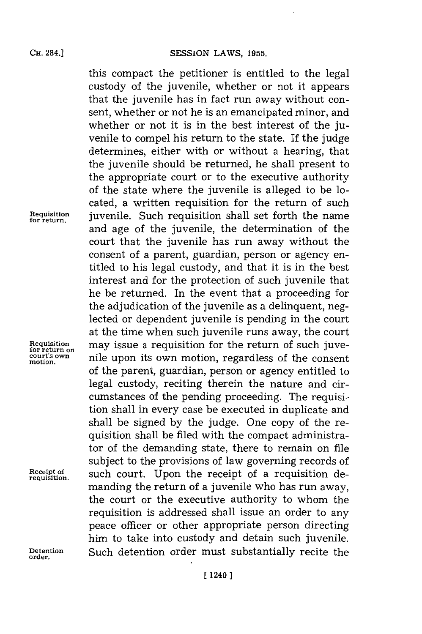this compact the petitioner is entitled to the legal custody of the juvenile, whether or not it appears that the juvenile has in fact run away without consent, whether or not he is an emancipated minor, and whether or not it is in the best interest of the juvenile to compel his return to the state. If the judge determines, either with or without a hearing, that the juvenile should be returned, he shall present to the appropriate court or to the executive authority of the state where the juvenile is alleged to be located, a written requisition for the return of such **Requisition** juvenile. Such requisition shall set forth the name **for return.** 3 and age of the juvenile, the determination of the court that the juvenile has run away without the consent of a parent, guardian, person or agency entitled to his legal custody, and that it is in the best interest and for the protection of such juvenile that he be returned. In the event that a proceeding for the adjudication of the juvenile as a delinquent, neglected or dependent juvenile is pending in the court at the time when such juvenile runs away, the court **Requisition may issue a requisition for the return of such juve-** for return on *n* is our motion *regardles* of the consent court's own<br>motion. **nile upon** its own motion, regardless of the consent of the parent, guardian, person or agency entitled to legal custody, reciting therein the nature and circumstances of the pending proceeding. The requisition shall in every case be executed in duplicate and shall be signed **by** the judge. One copy of the requisition shall be filed with the compact administrator of the demanding state, there to remain on file subject to the provisions of law governing records of Receipt of **such** court. Upon the receipt of a requisition demanding the return of a juvenile who has run away, the court or the executive authority to whom the requisition is addressed shall issue an order to any peace officer or other appropriate person directing him to take into custody and detain such juvenile. **Detention** Such detention order must substantially recite the

**order,**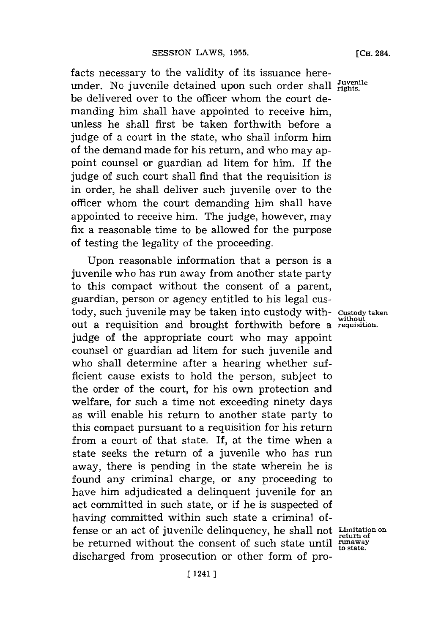facts necessary to the validity of its issuance hereunder. No juvenile detained upon such order shall *Juvenile* be delivered over to the officer whom the court demanding him shall have appointed to receive him, unless he shall first be taken forthwith before a judge of a court in the state, who shall inform him of the demand made for his return, and who may appoint counsel or guardian ad litem for him. If the judge of such court shall find that the requisition is in order, he shall deliver such juvenile over to the officer whom the court demanding him shall have appointed to receive him. The judge, however, may fix a reasonable time to be allowed for the purpose of testing the legality of the proceeding.

Upon reasonable information that a person is a juvenile who has run away from another state party to this compact without the consent of a parent, guardian, person or agency entitled to his legal custody, such juvenile may be taken into custody with-**Custody taken** out a requisition and brought forthwith before a **without requisition.** judge of the appropriate court who may appoint counsel or guardian ad litem for such juvenile and who shall determine after a hearing whether sufficient cause exists to hold the person, subject to the order of the court, for his own protection and welfare, for such a time not exceeding ninety days as will enable his return to another state party to this compact pursuant to a requisition for his return from a court of that state. If, at the time when a state seeks the return of a juvenile who has run away, there is pending in the state wherein he is found any criminal charge, or any proceeding to have him adjudicated a delinquent juvenile for an act committed in such state, or if he is suspected of having committed within such state a criminal offense or an act of juvenile delinquency, he shall not **Limitation on return of** be returned without the consent of such state until **runaway to state.** discharged from prosecution or other form of pro-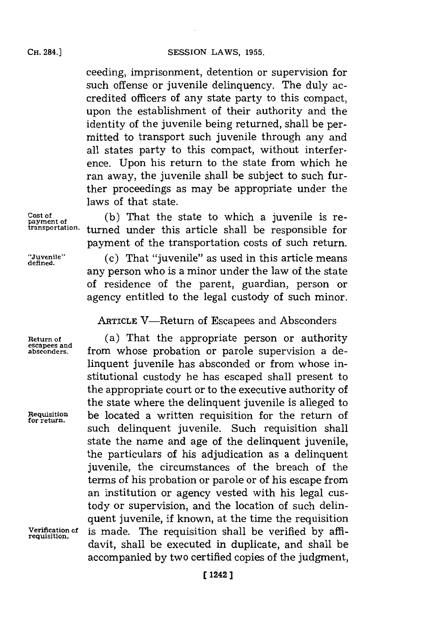ceeding, imprisonment, detention or supervision for such offense or juvenile delinquency. The duly accredited officers of any state party to this compact, upon the establishment of their authority and the identity of the juvenile being returned, shall be permitted to transport such juvenile through any and all states party to this compact, without interference. Upon his return to the state from which he ran away, the juvenile shall be subject to such further proceedings as may be appropriate under the laws of that state.

Cost of (b) That the state to which a juvenile is re-<br> **EXECONTE: transportation**. **turned under this article shall be responsible for** payment of the transportation costs of such return.

**"Juvenile"** (c) That "juvenile" as used in this article means **defined.** any person who is a minor under the law of the state of residence of the parent, guardian, person or agency entitled to the legal custody of such minor.

## **ARTICLE V-Return of Escapees and Absconders**

**Return of** (a) That the appropriate person or authority from whose probation or parole supervision a delinquent juvenile has absconded or from whose institutional custody he has escaped shall present to the appropriate court or to the executive authority of the state where the delinquent juvenile is alleged to **Requisition** be located a written requisition for the return of **for return.** such delinquent juvenile. Such requisition shall state the name and age of the delinquent juvenile, the particulars of his adjudication as a delinquent juvenile, the circumstances of the breach of the terms of his probation or parole or of his escape from an institution or agency vested with his legal custody or supervision, and the location of such delinquent juvenile, if known, at the time the requisition **Verification of** is made. The requisition shall be verified **by** affi- **requisition.** davit, shall be executed in duplicate, and shall be accompanied **by** two certified copies of the judgment,

**escapees and**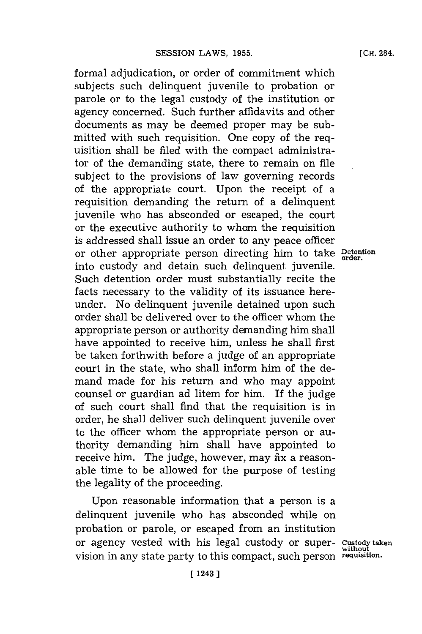formal adjudication, or order of commitment which subjects such delinquent juvenile to probation or parole or to the legal custody of the institution or agency concerned. Such further affidavits and other documents as may be deemed proper may be submitted with such requisition. One copy of the requisition shall be filed with the compact administrator of the demanding state, there to remain on file subject to the provisions of law governing records of the appropriate court. Upon the receipt of a requisition demanding the return of a delinquent juvenile who has absconded or escaped, the court or the executive authority to whom the requisition is addressed shall issue an order to any peace officer or other appropriate person directing him to take **Detention** into custody and detain such delinquent juvenile. Such detention order must substantially recite the facts necessary to the validity of its issuance hereunder. No delinquent juvenile detained upon such order shall be delivered over to the officer whom the appropriate person or authority demanding him shall have appointed to receive him, unless he shall first be taken forthwith before a judge of an appropriate court in the state, who shall inform him of the demand made for his return and who may appoint counsel or guardian ad litem for him. If the judge of such court shall find that the requisition is in order, he shall deliver such delinquent juvenile over to the officer whom the appropriate person or authority demanding him shall have appointed to receive him. The judge, however, may fix a reasonable time to be allowed for the purpose of testing the legality of the proceeding.

Upon reasonable information that a person is a delinquent juvenile who has absconded while on probation or parole, or escaped from an institution or agency vested with his legal custody or super- **custody taken** vision in any state party to this compact, such person **requisition.**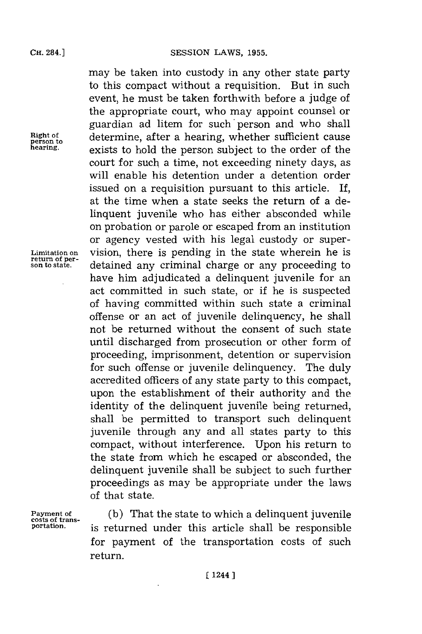**SESSION LAWS, 1955.** 

may be taken into custody in any other state party to this compact without a requisition. But in such event, he must be taken forthwith before a judge of the appropriate court, who may appoint counsel or guardian ad litem for such\* person and who shall Right of determine, after a hearing, whether sufficient cause<br>pesson of the series.<br>hearing. exists to hold the person subject to the order of the court for such a time, not exceeding ninety days, as will enable his detention under a detention order issued on a requisition pursuant to this article. If, at the time when a state seeks the return of a delinquent juvenile who has either absconded while on probation or parole or escaped from an institution or agency vested with his legal custody or super-Limitation on vision, there is pending in the state wherein he is return of per-<br>son to state. detained any criminal charge or any proceeding to detained any criminal charge or any proceeding to have him adjudicated a delinquent juvenile for an act committed in such state, or if he is suspected of having committed within such state a criminal offense or an act of juvenile delinquency, he shall not be returned without the consent of such state until discharged from prosecution or other form of proceeding, imprisonment, detention or supervision for such offense or juvenile delinquency. The duly accredited officers of any state party to this compact, upon the establishment of their authority and the identity of the delinquent juvenile being returned, shall be permitted to transport such delinquent juvenile through any and all states party to this compact, without interference. Upon his return to the state from which he escaped or absconded, the delinquent juvenile shall be subject to such further proceedings as may be appropriate under the laws of that state.

Payment of (b) That the state to which a delinquent juvenile<br>
costs of trans-<br>
<u>portation</u>. is returned under this article shall be responsible is returned under this article shall be responsible for payment of the transportation costs of such return.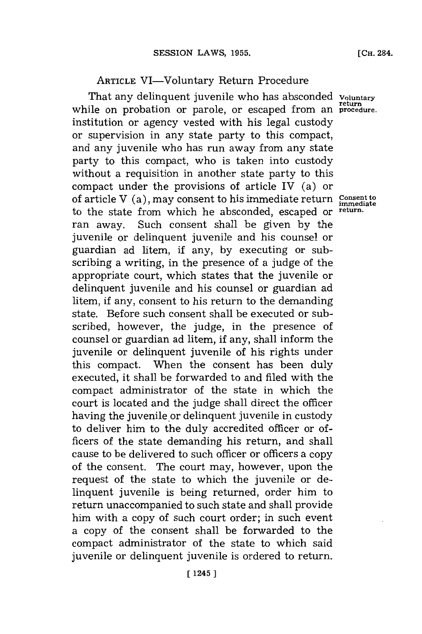# **ARTICLE VI-Voluntary Return Procedure**

That any delinquent juvenile who has absconded **Voluntary** while on probation or parole, or escaped from an **procedure.** institution or agency vested with his legal custody or supervision in any state party to this compact, and any juvenile who has run away from any state party to this compact, who is taken into custody without a requisition in another state party to this compact under the provisions of article IV (a) or of article V (a), may consent to his immediate return **consent to immediate** to the state from which he absconded, escaped or **return.** ran away. Such consent shall be given **by** the juvenile or delinquent juvenile and his counsel or guardian ad litem, if any, **by** executing or subscribing a writing, in the presence of a judge of the appropriate court, which states that the juvenile or delinquent juvenile and his counsel or guardian ad litem, if any, consent to his return to the demanding state. Before such consent shall be executed or subscribed, however, the judge, in the presence of counsel or guardian ad litem, if any, shall inform the juvenile or delinquent juvenile of his rights under this compact. When the consent has been duly executed, it shall be forwarded to and filed with the compact administrator of the state in which the court is located and the judge shall direct the officer having the juvenile or delinquent juvenile in custody to deliver him to the duly accredited officer or officers of the state demanding his return, and shall cause to be delivered to such officer or officers a copy of the consent. The court may, however, upon the request of the state to which the juvenile or delinquent juvenile is being returned, order him to return unaccompanied to such state and shall provide him with a copy of such court order; in such event a copy of the consent shall be forwarded to the compact administrator of the state to which said juvenile or delinquent juvenile is ordered to return.

**[CH.** 284.

**return**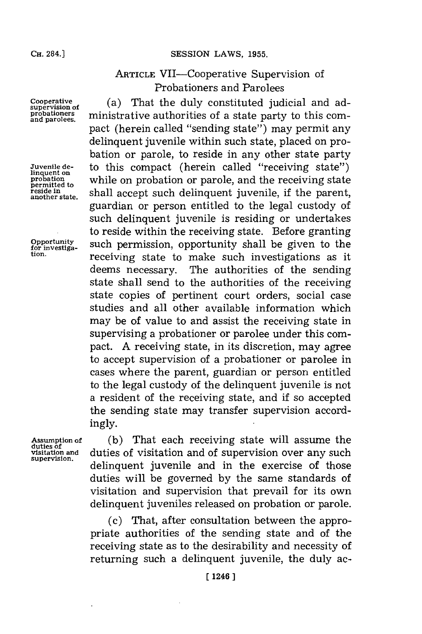#### **SESSION LAWS, 1955.**

# **ARTICLE** VIT-Cooperative Supervision of Probationers and Parolees

**permitted to**

Cooperative (a) That the duly constituted judicial and ad-<br>supervision of a ministrative authorities of a state party to this comprobationers ministrative authorities of a state party to this compact (herein called "sending state") may permit any delinquent juvenile within such state, placed on probation or parole, to reside in any other state party **Juvenile de-** to this compact (herein called "receiving state") **probation while on probation or parole**, and the receiving state reside in shall accept such delinquent juvenile, if the parent, guardian or person entitled to the legal custody of such delinquent juvenile is residing or undertakes to reside within the receiving state. Before granting **Opportunity** such permission, opportunity shall be given to the for investiga-<br>tion. **tion.** receiving state to make such investigations as it deems necessary. The authorities of the sending state shall send to the authorities of the receiving state copies of pertinent court orders, social case studies and all other available information which may be of value to and assist the receiving state in supervising a probationer or parolee under this compact. **A** receiving state, in its discretion, may agree to accept supervision of a probationer or parolee in cases where the parent, guardian or person entitled to the legal custody of the delinquent juvenile is not a resident of the receiving state, and if so accepted the sending state may transfer supervision accordingly.

**Assumption of duties of visitation and supervision.**

**(b)** That each receiving state will assume the duties of visitation and of supervision over any such delinquent juvenile and in the exercise of those duties will be governed **by** the same standards of visitation and supervision that prevail for its own delinquent juveniles released on probation or parole.

**(c)** That, after consultation between the appropriate authorities of the sending state and of the receiving state as to the desirability and necessity of returning such a delinquent juvenile, the duly ac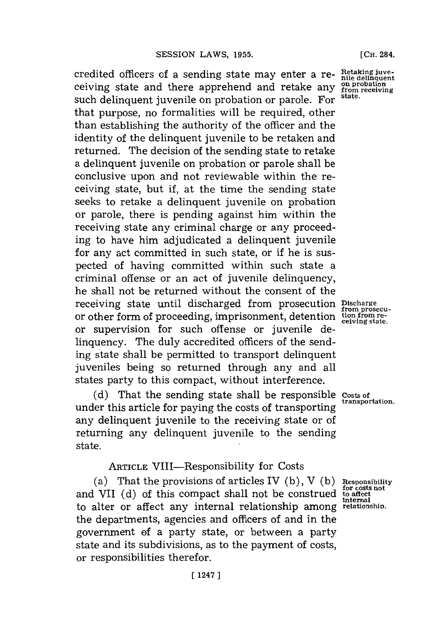credited officers of a sending state may enter a receiving state and there apprehend and retake any such delinquent juvenile on probation or parole. For that purpose, no formalities will be required, other than establishing the authority of the officer and the identity of the delinquent juvenile to be retaken and returned. The decision of the sending state to retake a delinquent juvenile on probation or parole shall be conclusive upon and not reviewable within the receiving state, but if, at the time the sending state seeks to retake a delinquent juvenile on probation or parole, there is pending against him within the receiving state any criminal charge or any proceeding to have him adjudicated a delinquent juvenile for any act committed in such state, or if he is suspected of having committed within such state a criminal offense or an act of juvenile delinquency, he shall not be returned without the consent of the receiving state until discharged from prosecution **Discharge** or other form of proceeding, imprisonment, detention **from prosecu- tion from re- ceiving state.** or supervision for such offense or juvenile delinquency. The duly accredited officers of the sending state shall be permitted to transport delinquent juveniles being so returned through any and all states party to this compact, without interference.

(d) That the sending state shall be responsible Costs of under this article for paying the costs of transporting any delinquent juvenile to the receiving state or of returning any delinquent juvenile to the sending state.

## **ARTICLE** VIII-Responsibility for Costs

(a) That the provisions of articles IV **(b),** V **(b)** and VII (d) of this compact shall not be construed to affect to alter or affect any internal relationship among **relationshiio.** the departments, agencies and officers of and in the government **of** a party state, or between a party state and its subdivisions, as to the payment of costs, or responsibilities therefor.

**Retaking juve- nile delinquent on probation from receiving state.**

**transportation.**

**Responsibility for costs not internal**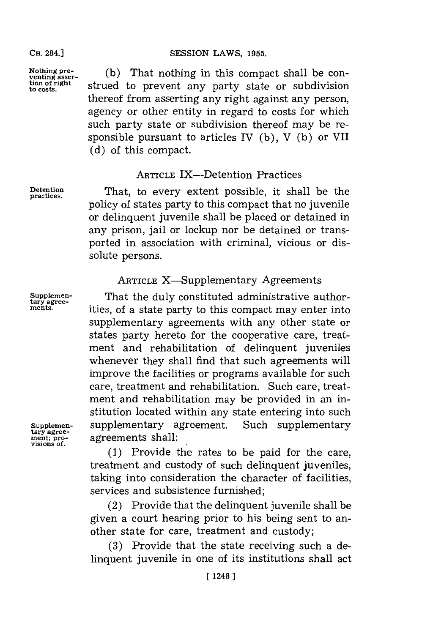**Detention**<br>practices.

**visions** of.

Nothing pre-<br>
venting asser- (b) That nothing in this compact shall be con**the street of the conting asser-**<br>tion of right strued to prevent any party state or subdivision<br>to costs. thereof from asserting any right against any person, agency or other entity in regard to costs for which such party state or subdivision thereof may be responsible pursuant to articles IV **(b),** V **(b)** or VII **(d)** of this compact.

# **ARTICLE IX-Detention Practices**

That, to every extent possible, it shall be the policy of states party to this compact that no juvenile or delinquent juvenile shall be placed or detained in any prison, jail or lockup nor be detained or transported in association with criminal, vicious or dissolute persons.

# **ARTICLE X-Supplementary Agreements**

Supplemen-<br>tary agree-<br>**That the duly constituted administrative authorments.** ities, of a state party to this compact may enter into supplementary agreements with any other state or states party hereto for the cooperative care, treatment and rehabilitation of delinquent juveniles whenever they shall find that such agreements will improve the facilities or programs available for such care, treatment and rehabilitation. Such care, treatment and rehabilitation may be provided in an institution located within any state entering into such Supplemen- supplementary agreement. Such supplementary **mn;pro-** agreements shall:

> (1) Provide the rates to be paid for the care, treatment and custody of such delinquent juveniles, taking into consideration the character of facilities, services and subsistence furnished;

> (2) Provide that the delinquent juvenile shall be given a court hearing prior to his being sent to another state for care, treatment and custody;

> **(3)** Provide that the state receiving such a delinquent juvenile in one of its institutions shall act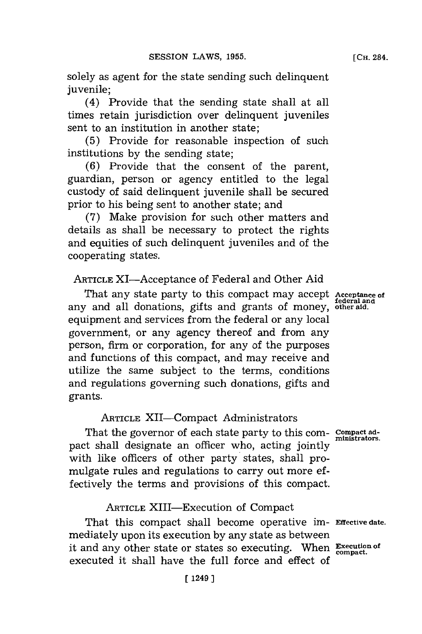solely as agent for the state sending such delinquent juvenile;

(4) Provide that the sending state shall at all times retain jurisdiction over delinquent juveniles sent to an institution in another state;

**(5)** Provide for reasonable inspection of such institutions **by** the sending state;

**(6)** Provide that the consent of the parent, guardian, person or agency entitled to the legal custody of said delinquent juvenile shall be secured prior to his being sent to another state; and

**(7)** Make provision for such other matters and details as shall be necessary to protect the rights and equities of such delinquent juveniles and of the cooperating states.

## **ARTICLE** XI-Acceptance of Federal and Other Aid

That any state party to this compact may accept any and all donations, gifts and grants of money, equipment and services from the federal or any local government, or any agency thereof and from any person, firm or corporation, for any of the purposes and functions of this compact, and may receive and utilize the same subject to the terms, conditions and regulations governing such donations, gifts and grants.

## **ARTICLE** XII-Compact Administrators

That the governor of each state party to this com- **Compact ad-**<br>ministrators. pact shall designate an officer who, acting jointly with like officers of other party states, shall promulgate rules and regulations to carry out more effectively the terms and provisions of this compact.

## **ARTICLE** XIII-Execution of Compact

That this compact shall become operative in- **Effective date.** mediately upon its execution **by** any state as between it and any other state or states so executing. When **Execution** of executed it shall have the full force and effect of

**Acceptace of federa and other aid.**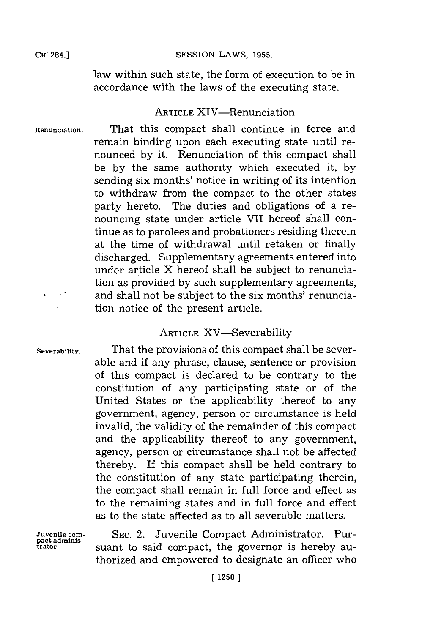**CH.'** 284.]

#### SESSION LAWS, 1955.

law within such state, the form of execution to be in accordance with the laws of the executing state.

## **ARTICLE XIV-Renunciation**

**Renunciation.** That this compact shall continue in force and remain binding upon each executing state until renounced **by** it. Renunciation of this compact shall be **by** the same authority which executed it, **by** sending six months' notice in writing of its intention to withdraw from the compact to the other states party hereto. The duties and obligations of a renouncing state under article VII hereof shall continue as to parolees and probationers residing therein at the time of withdrawal until retaken or finally discharged. Supplementary agreements entered into under article X hereof shall be subject to renunciation as provided **by** such supplementary agreements, and shall not be subject to the six months' renunciation notice of the present article.

#### **ARTICLE XV-Severability**

**Severability.** That the provisions of this compact shall be severable and if any phrase, clause, sentence or provision of this compact is declared to be contrary to the constitution of any participating state or of the United States or the applicability thereof to any government, agency, person or circumstance is held invalid, the validity of the remainder of this compact and the applicability thereof to any government, agency, person or circumstance shall not be affected thereby. **If** this compact shall be held contrary to the constitution of any state participating therein, the compact shall remain in full force and effect as to the remaining states and in full force and effect as to the state affected as to all severable matters.

Juvenile com-<br>pact adminis-<br>trator.

SEC. 2. Juvenile Compact Administrator. Pursuant to said compact, the governor is hereby authorized and empowered to designate an officer who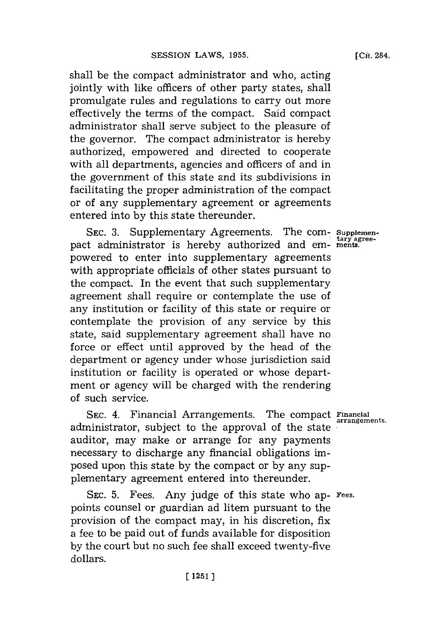shall be the compact administrator and who, acting jointly with like officers of other party states, shall promulgate rules and regulations to carry out more effectively the terms of the compact. Said compact administrator shall serve subject to the pleasure of the governor. The compact administrator is hereby authorized, empowered and directed to cooperate with all departments, agencies and officers of and in the government of this state and its subdivisions in facilitating the proper administration of the compact or of any supplementary agreement or agreements entered into **by** this state thereunder.

**SEC. 3.** Supplementary Agreements. The com- **Supplemen**pact administrator is hereby authorized and em- **ments**. powered to enter into supplementary agreements with appropriate officials of other states pursuant to the compact. In the event that such supplementary agreement shall require or contemplate the use of any institution or facility of this state or require or contemplate the provision of any service **by** this state, said supplementary agreement shall have no force or effect until approved **by** the head of the department or agency under whose jurisdiction said institution or facility is operated or whose department or agency will be charged with the rendering of such service.

SEC. 4. Financial Arrangements. The compact **Financial** arrangements. administrator, subject to the approval of the state auditor, may make or arrange for any payments necessary to discharge any financial obligations imposed upon this state **by** the compact or **by** any supplementary agreement entered into thereunder.

**SEC. 5.** Fees. Any judge of this state who ap- **Fees.** points counsel or guardian ad litem pursuant to the provision of the compact may, in his discretion, fix a fee to be paid out of funds available **for** disposition **by** the court but no such fee shall exceed twenty-five dollars.